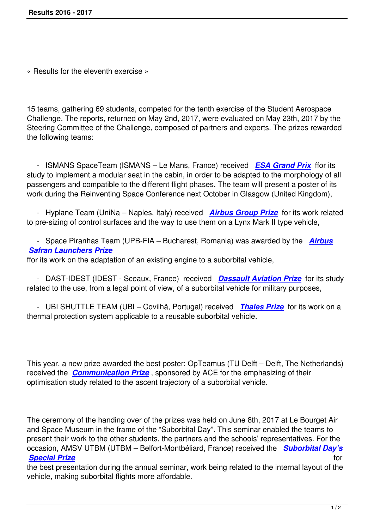« Results for the eleventh exercise »

15 teams, gathering 69 students, competed for the tenth exercise of the Student Aerospace Challenge. The reports, returned on May 2nd, 2017, were evaluated on May 23th, 2017 by the Steering Committee of the Challenge, composed of partners and experts. The prizes rewarded the following teams:

 - ISMANS SpaceTeam (ISMANS – Le Mans, France) received *ESA Grand Prix* ffor its study to implement a modular seat in the cabin, in order to be adapted to the morphology of all passengers and compatible to the different flight phases. The team will present a poster of its work during the Reinventing Space Conference next October in Gla[sgow \(United King](images/stories/popup/2016-2017/us/esa-2016-2017-prize.html)dom),

 - Hyplane Team (UniNa – Naples, Italy) received *Airbus Group Prize* for its work related to pre-sizing of control surfaces and the way to use them on a Lynx Mark II type vehicle,

 - Space Piranhas Team (UPB-FIA – Bucharest, R[omania\) was awarded](images/stories/popup/2016-2017/us/airbus-group-2016-2017-prize.html) by the *Airbus Safran Launchers Prize*

ffor its work on the adaptation of an existing engine to a suborbital vehicle,

 [- DAST-IDEST \(IDES](images/stories/popup/2016-2017/us/airbus-safran-launcher-2016-2017-prize.html)T - Sceaux, France) received *Dassault Aviation Prize* f[or its stu](images/stories/popup/2016-2017/us/airbus-safran-launcher-2016-2017-prize.html)dy related to the use, from a legal point of view, of a suborbital vehicle for military purposes,

 - UBI SHUTTLE TEAM (UBI – Covilhã, Portugal) received *[Thales Prize](images/stories/popup/2016-2017/us/dassault-aviation-2016-2017-prize.html)* for its work on a thermal protection system applicable to a reusable suborbital vehicle.

This year, a new prize awarded the best poster: OpTeamus (TU Delft – Delft, The Netherlands) received the *Communication Prize* , sponsored by ACE for the emphasizing of their optimisation study related to the ascent trajectory of a suborbital vehicle.

The ceremony of the handing over of the prizes was held on June 8th, 2017 at Le Bourget Air and Space Museum in the frame of the "Suborbital Day". This seminar enabled the teams to present their work to the other students, the partners and the schools' representatives. For the occasion, AMSV UTBM (UTBM – Belfort-Montbéliard, France) received the *Suborbital Day's Special Prize* for

the best presentation during the annual seminar, work being related to the internal layout of the vehicle, making suborbital flights more affordable.